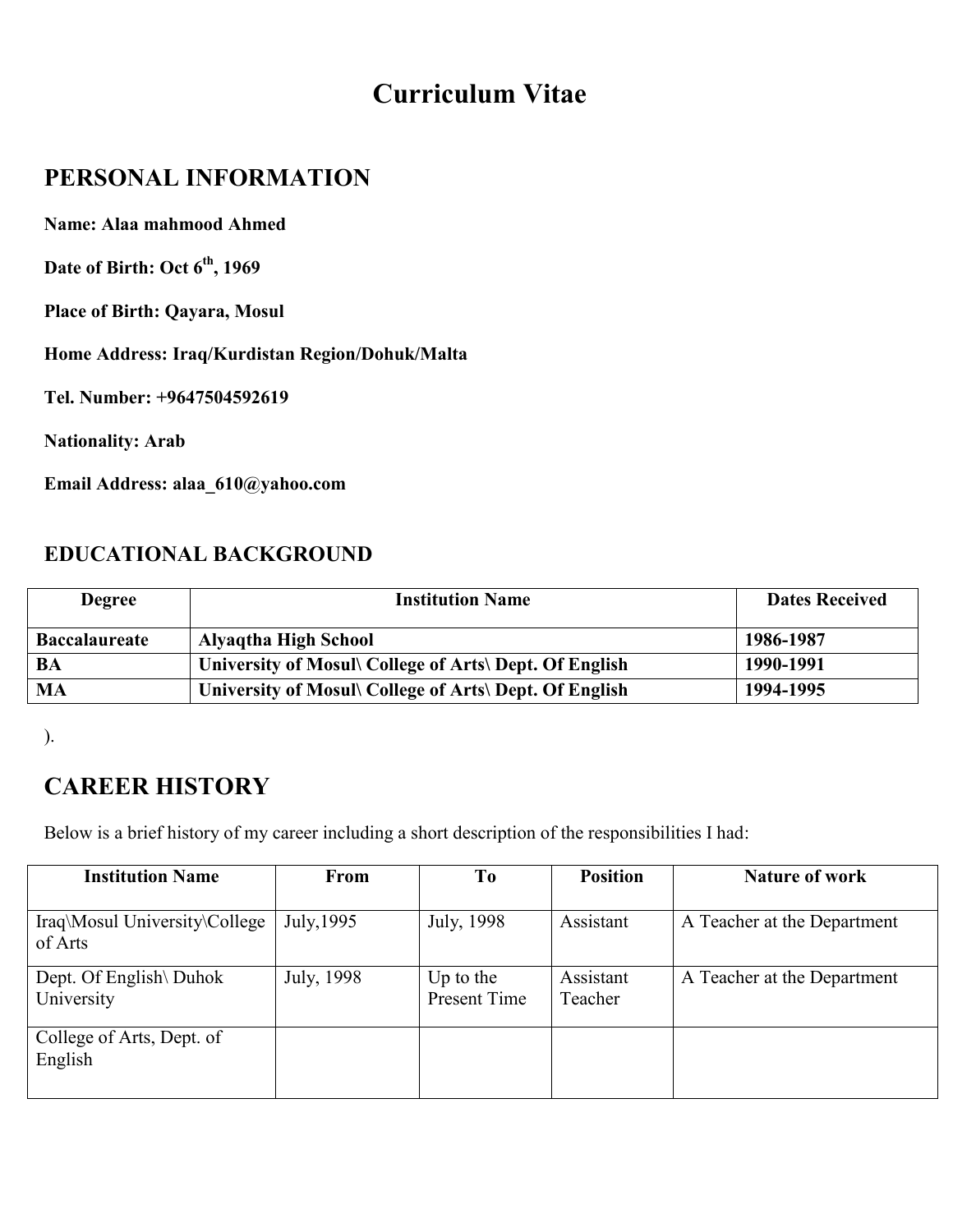# **Curriculum Vitae**

### **PERSONAL INFORMATION**

**Name: Alaa mahmood Ahmed**

**Date of Birth: Oct 6th, 1969**

**Place of Birth: Qayara, Mosul**

**Home Address: Iraq/Kurdistan Region/Dohuk/Malta**

**Tel. Number: +9647504592619**

**Nationality: Arab**

**Email Address: alaa\_610@yahoo.com**

#### **EDUCATIONAL BACKGROUND**

| <b>Degree</b>        | <b>Institution Name</b>                                | <b>Dates Received</b> |
|----------------------|--------------------------------------------------------|-----------------------|
| <b>Baccalaureate</b> | <b>Alyaqtha High School</b>                            | 1986-1987             |
| BA                   | University of Mosul\ College of Arts\ Dept. Of English | 1990-1991             |
| MA                   | University of Mosul\ College of Arts\ Dept. Of English | 1994-1995             |

).

## **CAREER HISTORY**

Below is a brief history of my career including a short description of the responsibilities I had:

| <b>Institution Name</b>                  | From       | T <sub>0</sub>                   | <b>Position</b>      | <b>Nature of work</b>       |
|------------------------------------------|------------|----------------------------------|----------------------|-----------------------------|
| Iraq\Mosul University\College<br>of Arts | July, 1995 | July, 1998                       | Assistant            | A Teacher at the Department |
| Dept. Of English\ Duhok<br>University    | July, 1998 | Up to the<br><b>Present Time</b> | Assistant<br>Teacher | A Teacher at the Department |
| College of Arts, Dept. of<br>English     |            |                                  |                      |                             |